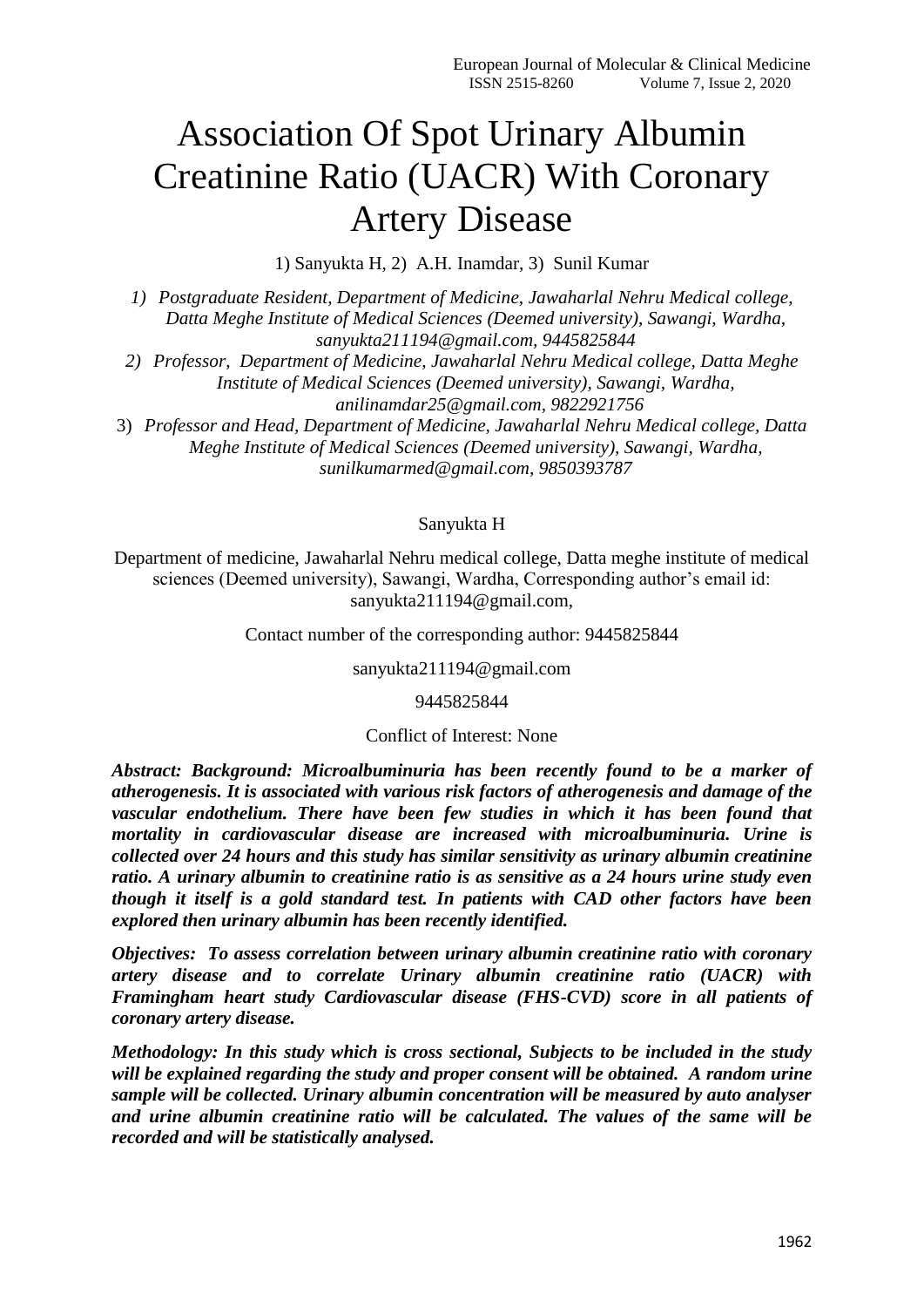# Association Of Spot Urinary Albumin Creatinine Ratio (UACR) With Coronary Artery Disease

1) Sanyukta H, 2) A.H. Inamdar, 3) Sunil Kumar

*1) Postgraduate Resident, Department of Medicine, Jawaharlal Nehru Medical college, Datta Meghe Institute of Medical Sciences (Deemed university), Sawangi, Wardha, sanyukta211194@gmail.com, 9445825844*

*2) Professor, Department of Medicine, Jawaharlal Nehru Medical college, Datta Meghe Institute of Medical Sciences (Deemed university), Sawangi, Wardha, anilinamdar25@gmail.com, 9822921756*

3) *Professor and Head, Department of Medicine, Jawaharlal Nehru Medical college, Datta Meghe Institute of Medical Sciences (Deemed university), Sawangi, Wardha, sunilkumarmed@gmail.com, 9850393787*

## Sanyukta H

Department of medicine, Jawaharlal Nehru medical college, Datta meghe institute of medical sciences (Deemed university), Sawangi, Wardha, Corresponding author's email id: sanyukta211194@gmail.com,

Contact number of the corresponding author: 9445825844

sanyukta211194@gmail.com

9445825844

#### Conflict of Interest: None

*Abstract: Background: Microalbuminuria has been recently found to be a marker of atherogenesis. It is associated with various risk factors of atherogenesis and damage of the vascular endothelium. There have been few studies in which it has been found that mortality in cardiovascular disease are increased with microalbuminuria. Urine is collected over 24 hours and this study has similar sensitivity as urinary albumin creatinine ratio. A urinary albumin to creatinine ratio is as sensitive as a 24 hours urine study even though it itself is a gold standard test. In patients with CAD other factors have been explored then urinary albumin has been recently identified.*

*Objectives: To assess correlation between urinary albumin creatinine ratio with coronary artery disease and to correlate Urinary albumin creatinine ratio (UACR) with Framingham heart study Cardiovascular disease (FHS-CVD) score in all patients of coronary artery disease.*

*Methodology: In this study which is cross sectional, Subjects to be included in the study will be explained regarding the study and proper consent will be obtained. A random urine sample will be collected. Urinary albumin concentration will be measured by auto analyser and urine albumin creatinine ratio will be calculated. The values of the same will be recorded and will be statistically analysed.*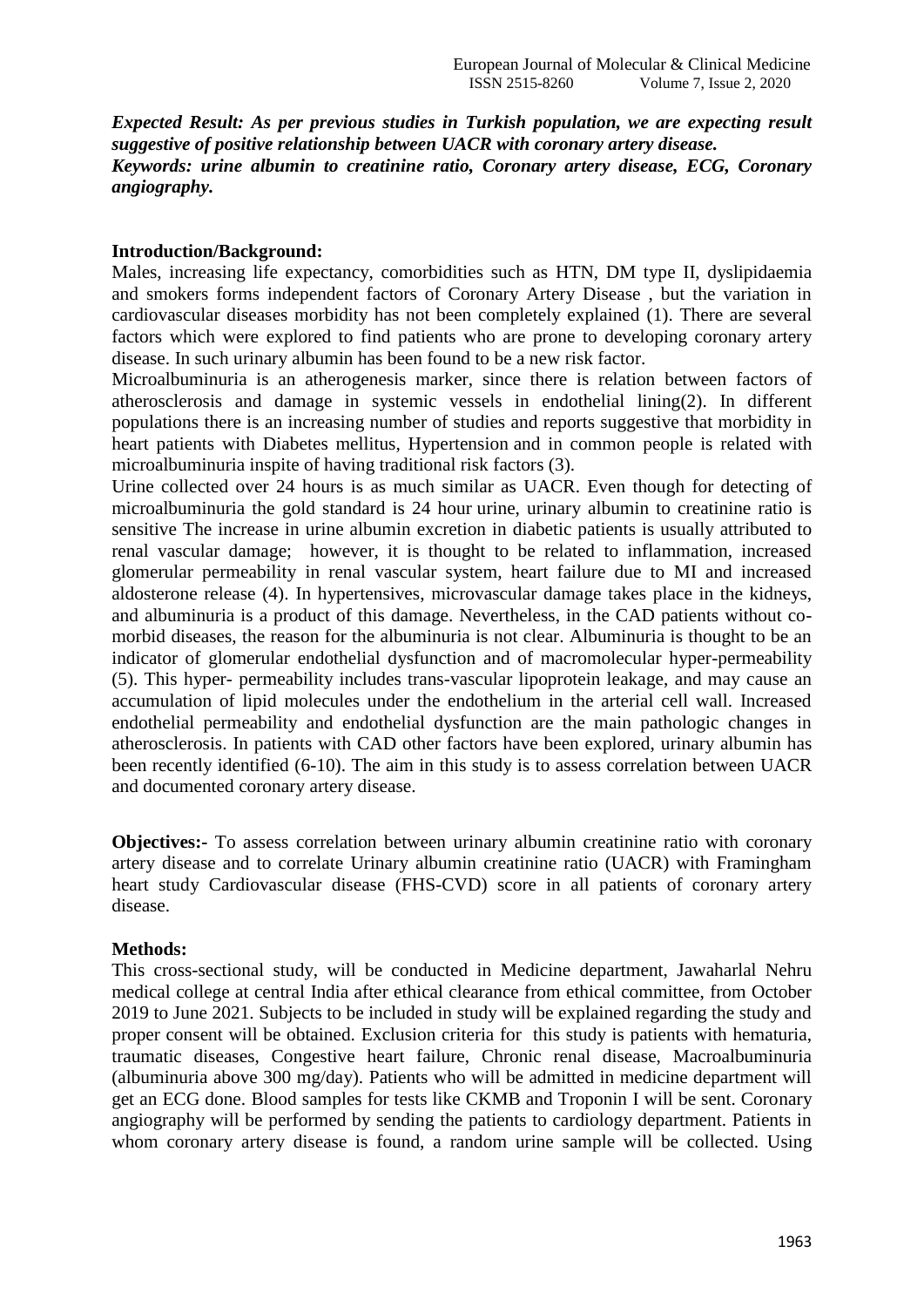*Expected Result: As per previous studies in Turkish population, we are expecting result suggestive of positive relationship between UACR with coronary artery disease. Keywords: urine albumin to creatinine ratio, Coronary artery disease, ECG, Coronary angiography.*

#### **Introduction/Background:**

Males, increasing life expectancy, comorbidities such as HTN, DM type II, dyslipidaemia and smokers forms independent factors of Coronary Artery Disease , but the variation in cardiovascular diseases morbidity has not been completely explained (1). There are several factors which were explored to find patients who are prone to developing coronary artery disease. In such urinary albumin has been found to be a new risk factor.

Microalbuminuria is an atherogenesis marker, since there is relation between factors of atherosclerosis and damage in systemic vessels in endothelial lining(2). In different populations there is an increasing number of studies and reports suggestive that morbidity in heart patients with Diabetes mellitus, Hypertension and in common people is related with microalbuminuria inspite of having traditional risk factors (3).

Urine collected over 24 hours is as much similar as UACR. Even though for detecting of microalbuminuria the gold standard is 24 hour urine, urinary albumin to creatinine ratio is sensitive The increase in urine albumin excretion in diabetic patients is usually attributed to renal vascular damage; however, it is thought to be related to inflammation, increased glomerular permeability in renal vascular system, heart failure due to MI and increased aldosterone release (4). In hypertensives, microvascular damage takes place in the kidneys, and albuminuria is a product of this damage. Nevertheless, in the CAD patients without comorbid diseases, the reason for the albuminuria is not clear. Albuminuria is thought to be an indicator of glomerular endothelial dysfunction and of macromolecular hyper-permeability (5). This hyper- permeability includes trans-vascular lipoprotein leakage, and may cause an accumulation of lipid molecules under the endothelium in the arterial cell wall. Increased endothelial permeability and endothelial dysfunction are the main pathologic changes in atherosclerosis. In patients with CAD other factors have been explored, urinary albumin has been recently identified (6-10). The aim in this study is to assess correlation between UACR and documented coronary artery disease.

**Objectives:** To assess correlation between urinary albumin creatinine ratio with coronary artery disease and to correlate Urinary albumin creatinine ratio (UACR) with Framingham heart study Cardiovascular disease (FHS-CVD) score in all patients of coronary artery disease.

## **Methods:**

This cross-sectional study, will be conducted in Medicine department, Jawaharlal Nehru medical college at central India after ethical clearance from ethical committee, from October 2019 to June 2021. Subjects to be included in study will be explained regarding the study and proper consent will be obtained. Exclusion criteria for this study is patients with hematuria, traumatic diseases, Congestive heart failure, Chronic renal disease, Macroalbuminuria (albuminuria above 300 mg/day). Patients who will be admitted in medicine department will get an ECG done. Blood samples for tests like CKMB and Troponin I will be sent. Coronary angiography will be performed by sending the patients to cardiology department. Patients in whom coronary artery disease is found, a random urine sample will be collected. Using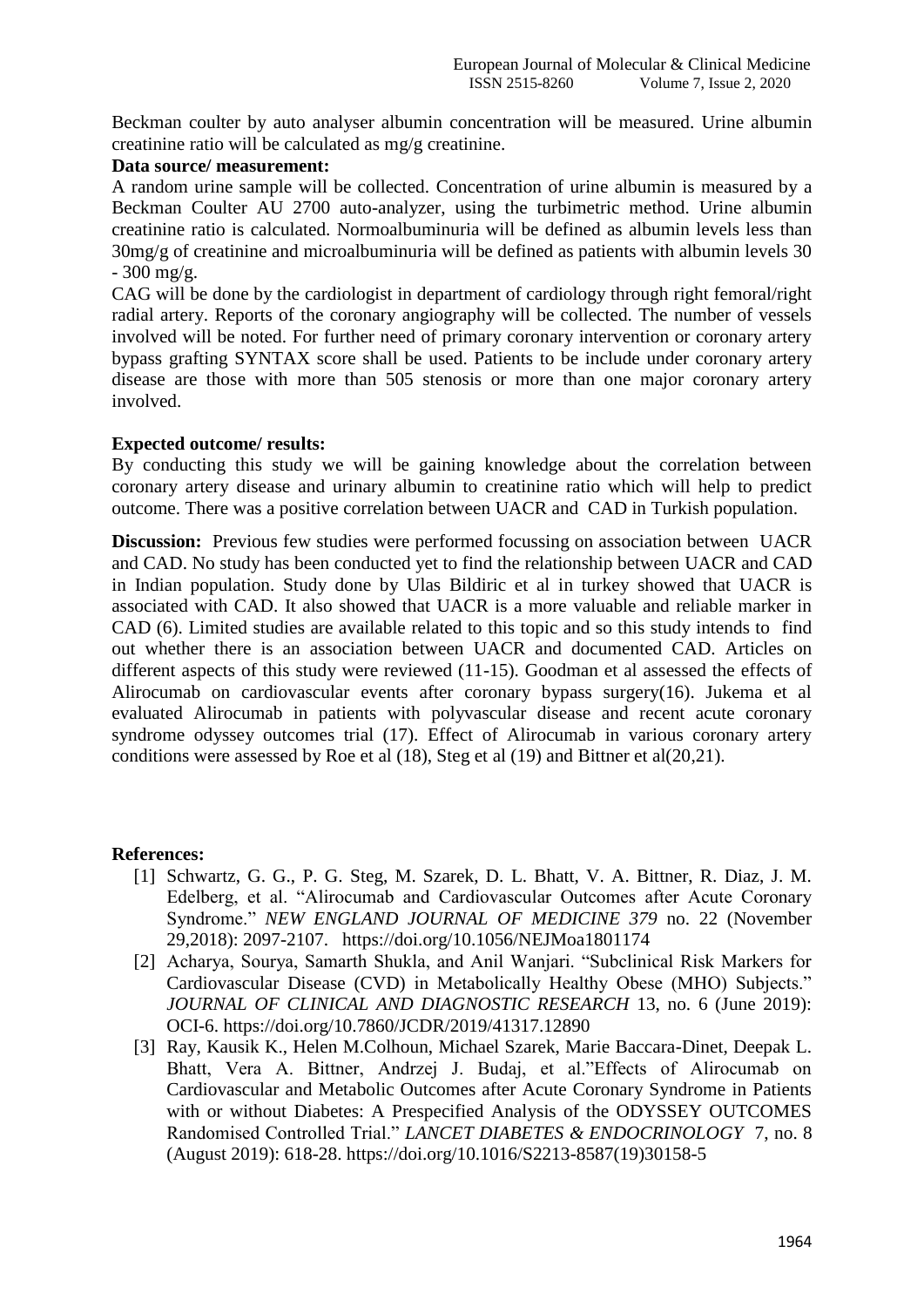Beckman coulter by auto analyser albumin concentration will be measured. Urine albumin creatinine ratio will be calculated as mg/g creatinine.

#### **Data source/ measurement:**

A random urine sample will be collected. Concentration of urine albumin is measured by a Beckman Coulter AU 2700 auto-analyzer, using the turbimetric method. Urine albumin creatinine ratio is calculated. Normoalbuminuria will be defined as albumin levels less than 30mg/g of creatinine and microalbuminuria will be defined as patients with albumin levels 30  $-300$  mg/g.

CAG will be done by the cardiologist in department of cardiology through right femoral/right radial artery. Reports of the coronary angiography will be collected. The number of vessels involved will be noted. For further need of primary coronary intervention or coronary artery bypass grafting SYNTAX score shall be used. Patients to be include under coronary artery disease are those with more than 505 stenosis or more than one major coronary artery involved.

## **Expected outcome/ results:**

By conducting this study we will be gaining knowledge about the correlation between coronary artery disease and urinary albumin to creatinine ratio which will help to predict outcome. There was a positive correlation between UACR and CAD in Turkish population.

**Discussion:** Previous few studies were performed focussing on association between UACR and CAD. No study has been conducted yet to find the relationship between UACR and CAD in Indian population. Study done by Ulas Bildiric et al in turkey showed that UACR is associated with CAD. It also showed that UACR is a more valuable and reliable marker in CAD (6). Limited studies are available related to this topic and so this study intends to find out whether there is an association between UACR and documented CAD. Articles on different aspects of this study were reviewed (11-15). Goodman et al assessed the effects of Alirocumab on cardiovascular events after coronary bypass surgery(16). Jukema et al evaluated Alirocumab in patients with polyvascular disease and recent acute coronary syndrome odyssey outcomes trial (17). Effect of Alirocumab in various coronary artery conditions were assessed by Roe et al (18), Steg et al (19) and Bittner et al(20,21).

## **References:**

- [1] Schwartz, G. G., P. G. Steg, M. Szarek, D. L. Bhatt, V. A. Bittner, R. Diaz, J. M. Edelberg, et al. "Alirocumab and Cardiovascular Outcomes after Acute Coronary Syndrome." *NEW ENGLAND JOURNAL OF MEDICINE 379* no. 22 (November 29,2018): 2097-2107. https://doi.org/10.1056/NEJMoa1801174
- [2] Acharya, Sourya, Samarth Shukla, and Anil Wanjari. "Subclinical Risk Markers for Cardiovascular Disease (CVD) in Metabolically Healthy Obese (MHO) Subjects." *JOURNAL OF CLINICAL AND DIAGNOSTIC RESEARCH* 13, no. 6 (June 2019): OCI-6. https://doi.org/10.7860/JCDR/2019/41317.12890
- [3] Ray, Kausik K., Helen M.Colhoun, Michael Szarek, Marie Baccara-Dinet, Deepak L. Bhatt, Vera A. Bittner, Andrzej J. Budaj, et al."Effects of Alirocumab on Cardiovascular and Metabolic Outcomes after Acute Coronary Syndrome in Patients with or without Diabetes: A Prespecified Analysis of the ODYSSEY OUTCOMES Randomised Controlled Trial." *LANCET DIABETES & ENDOCRINOLOGY* 7, no. 8 (August 2019): 618-28. https://doi.org/10.1016/S2213-8587(19)30158-5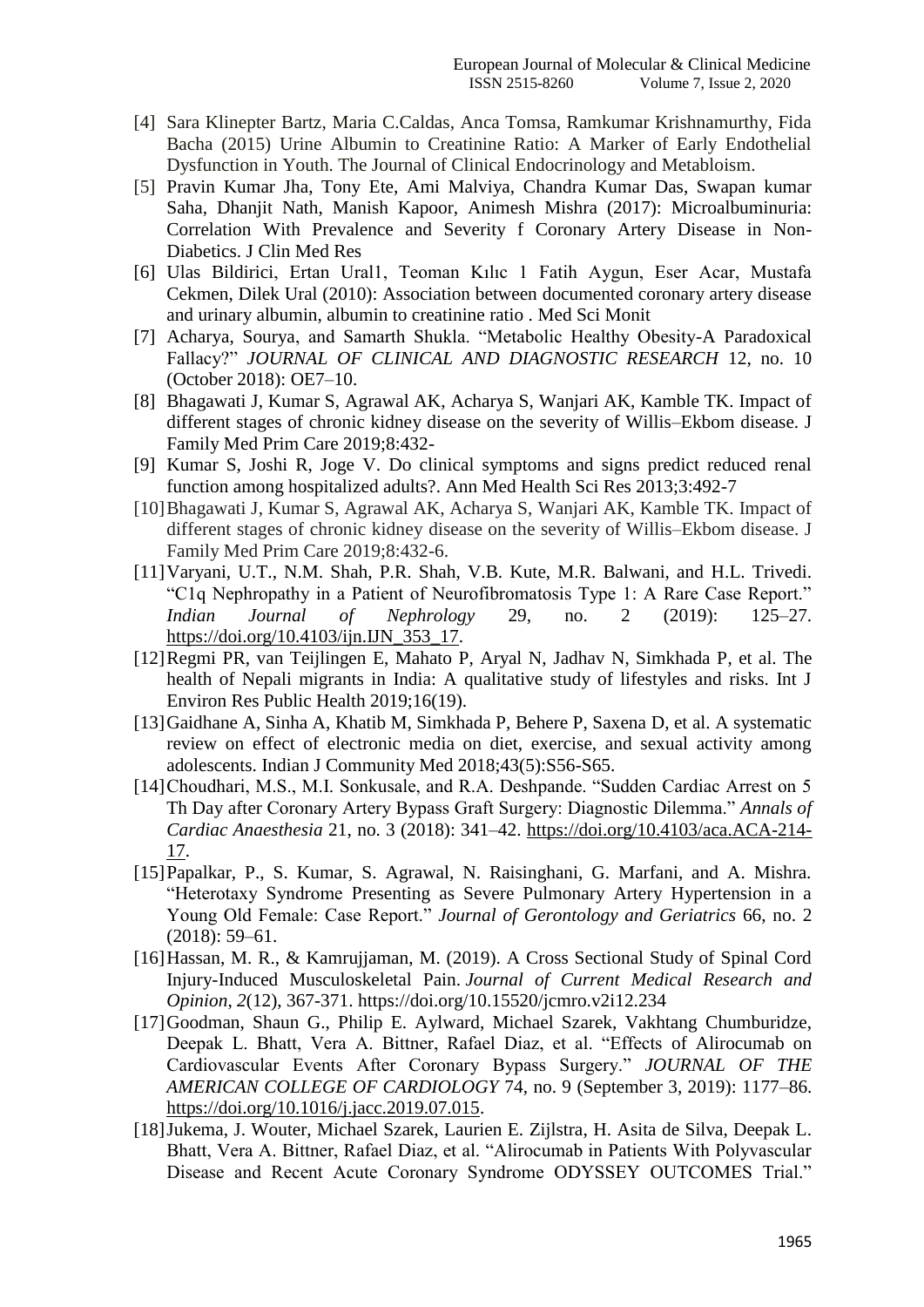- [4] Sara Klinepter Bartz, Maria C.Caldas, Anca Tomsa, Ramkumar Krishnamurthy, Fida Bacha (2015) Urine Albumin to Creatinine Ratio: A Marker of Early Endothelial Dysfunction in Youth. The Journal of Clinical Endocrinology and Metabloism.
- [5] Pravin Kumar Jha, Tony Ete, Ami Malviya, Chandra Kumar Das, Swapan kumar Saha, Dhanjit Nath, Manish Kapoor, Animesh Mishra (2017): Microalbuminuria: Correlation With Prevalence and Severity f Coronary Artery Disease in Non-Diabetics. J Clin Med Res
- [6] Ulas Bildirici, Ertan Ural1, Teoman Kılıc 1 Fatih Aygun, Eser Acar, Mustafa Cekmen, Dilek Ural (2010): Association between documented coronary artery disease and urinary albumin, albumin to creatinine ratio . Med Sci Monit
- [7] Acharya, Sourya, and Samarth Shukla. "Metabolic Healthy Obesity-A Paradoxical Fallacy?" *JOURNAL OF CLINICAL AND DIAGNOSTIC RESEARCH* 12, no. 10 (October 2018): OE7–10.
- [8] Bhagawati J, Kumar S, Agrawal AK, Acharya S, Wanjari AK, Kamble TK. Impact of different stages of chronic kidney disease on the severity of Willis–Ekbom disease. J Family Med Prim Care 2019;8:432-
- [9] Kumar S, Joshi R, Joge V. Do clinical symptoms and signs predict reduced renal function among hospitalized adults?. Ann Med Health Sci Res 2013;3:492-7
- [10]Bhagawati J, Kumar S, Agrawal AK, Acharya S, Wanjari AK, Kamble TK. Impact of different stages of chronic kidney disease on the severity of Willis–Ekbom disease. J Family Med Prim Care 2019;8:432-6.
- [11]Varyani, U.T., N.M. Shah, P.R. Shah, V.B. Kute, M.R. Balwani, and H.L. Trivedi. "C1q Nephropathy in a Patient of Neurofibromatosis Type 1: A Rare Case Report." *Indian Journal of Nephrology* 29, no. 2 (2019): 125–27. https://doi.org/10.4103/ijn.IJN\_353\_17.
- [12]Regmi PR, van Teijlingen E, Mahato P, Aryal N, Jadhav N, Simkhada P, et al. The health of Nepali migrants in India: A qualitative study of lifestyles and risks. Int J Environ Res Public Health 2019;16(19).
- [13]Gaidhane A, Sinha A, Khatib M, Simkhada P, Behere P, Saxena D, et al. A systematic review on effect of electronic media on diet, exercise, and sexual activity among adolescents. Indian J Community Med 2018;43(5):S56-S65.
- [14]Choudhari, M.S., M.I. Sonkusale, and R.A. Deshpande. "Sudden Cardiac Arrest on 5 Th Day after Coronary Artery Bypass Graft Surgery: Diagnostic Dilemma." *Annals of Cardiac Anaesthesia* 21, no. 3 (2018): 341–42. https://doi.org/10.4103/aca.ACA-214- 17.
- [15]Papalkar, P., S. Kumar, S. Agrawal, N. Raisinghani, G. Marfani, and A. Mishra. "Heterotaxy Syndrome Presenting as Severe Pulmonary Artery Hypertension in a Young Old Female: Case Report." *Journal of Gerontology and Geriatrics* 66, no. 2 (2018): 59–61.
- [16]Hassan, M. R., & Kamrujjaman, M. (2019). A Cross Sectional Study of Spinal Cord Injury-Induced Musculoskeletal Pain. *Journal of Current Medical Research and Opinion*, *2*(12), 367-371. https://doi.org/10.15520/jcmro.v2i12.234
- [17]Goodman, Shaun G., Philip E. Aylward, Michael Szarek, Vakhtang Chumburidze, Deepak L. Bhatt, Vera A. Bittner, Rafael Diaz, et al. "Effects of Alirocumab on Cardiovascular Events After Coronary Bypass Surgery." *JOURNAL OF THE AMERICAN COLLEGE OF CARDIOLOGY* 74, no. 9 (September 3, 2019): 1177–86. https://doi.org/10.1016/j.jacc.2019.07.015.
- [18]Jukema, J. Wouter, Michael Szarek, Laurien E. Zijlstra, H. Asita de Silva, Deepak L. Bhatt, Vera A. Bittner, Rafael Diaz, et al. "Alirocumab in Patients With Polyvascular Disease and Recent Acute Coronary Syndrome ODYSSEY OUTCOMES Trial."